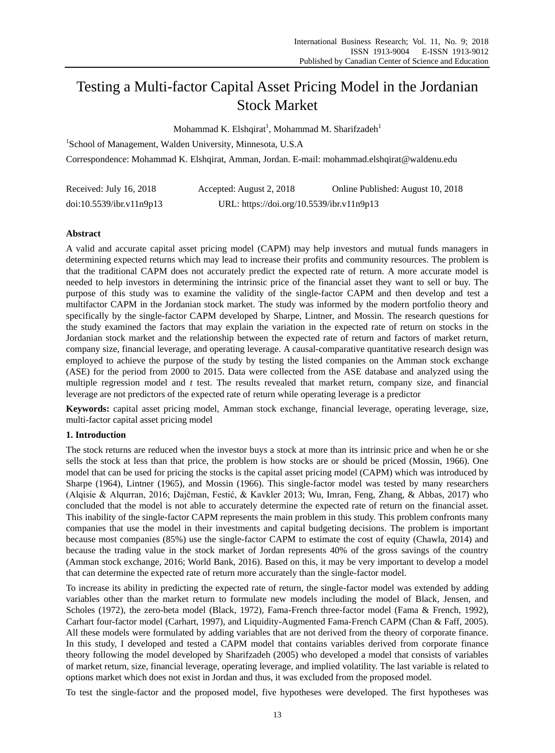# Testing a Multi-factor Capital Asset Pricing Model in the Jordanian Stock Market

Mohammad K. Elshqirat<sup>1</sup>, Mohammad M. Sharifzadeh<sup>1</sup>

<sup>1</sup>School of Management, Walden University, Minnesota, U.S.A Correspondence: Mohammad K. Elshqirat, Amman, Jordan. E-mail: mohammad.elshqirat@waldenu.edu

| Received: July 16, 2018  | Accepted: August 2, 2018                  | Online Published: August 10, 2018 |
|--------------------------|-------------------------------------------|-----------------------------------|
| doi:10.5539/ibr.v11n9p13 | URL: https://doi.org/10.5539/ibr.v11n9p13 |                                   |

# **Abstract**

A valid and accurate capital asset pricing model (CAPM) may help investors and mutual funds managers in determining expected returns which may lead to increase their profits and community resources. The problem is that the traditional CAPM does not accurately predict the expected rate of return. A more accurate model is needed to help investors in determining the intrinsic price of the financial asset they want to sell or buy. The purpose of this study was to examine the validity of the single-factor CAPM and then develop and test a multifactor CAPM in the Jordanian stock market. The study was informed by the modern portfolio theory and specifically by the single-factor CAPM developed by Sharpe, Lintner, and Mossin. The research questions for the study examined the factors that may explain the variation in the expected rate of return on stocks in the Jordanian stock market and the relationship between the expected rate of return and factors of market return, company size, financial leverage, and operating leverage. A causal-comparative quantitative research design was employed to achieve the purpose of the study by testing the listed companies on the Amman stock exchange (ASE) for the period from 2000 to 2015. Data were collected from the ASE database and analyzed using the multiple regression model and *t* test. The results revealed that market return, company size, and financial leverage are not predictors of the expected rate of return while operating leverage is a predictor

**Keywords:** capital asset pricing model, Amman stock exchange, financial leverage, operating leverage, size, multi-factor capital asset pricing model

# **1. Introduction**

The stock returns are reduced when the investor buys a stock at more than its intrinsic price and when he or she sells the stock at less than that price, the problem is how stocks are or should be priced (Mossin, 1966). One model that can be used for pricing the stocks is the capital asset pricing model (CAPM) which was introduced by Sharpe (1964), Lintner (1965), and Mossin (1966). This single-factor model was tested by many researchers (Alqisie & Alqurran, 2016; Dajčman, Festić, & Kavkler 2013; Wu, Imran, Feng, Zhang, & Abbas, 2017) who concluded that the model is not able to accurately determine the expected rate of return on the financial asset. This inability of the single-factor CAPM represents the main problem in this study. This problem confronts many companies that use the model in their investments and capital budgeting decisions. The problem is important because most companies (85%) use the single-factor CAPM to estimate the cost of equity (Chawla, 2014) and because the trading value in the stock market of Jordan represents 40% of the gross savings of the country (Amman stock exchange, 2016; World Bank, 2016). Based on this, it may be very important to develop a model that can determine the expected rate of return more accurately than the single-factor model.

To increase its ability in predicting the expected rate of return, the single-factor model was extended by adding variables other than the market return to formulate new models including the model of Black, Jensen, and Scholes (1972), the zero-beta model (Black, 1972), Fama-French three-factor model (Fama & French, 1992), Carhart four-factor model (Carhart, 1997), and Liquidity-Augmented Fama-French CAPM (Chan & Faff, 2005). All these models were formulated by adding variables that are not derived from the theory of corporate finance. In this study, I developed and tested a CAPM model that contains variables derived from corporate finance theory following the model developed by Sharifzadeh (2005) who developed a model that consists of variables of market return, size, financial leverage, operating leverage, and implied volatility. The last variable is related to options market which does not exist in Jordan and thus, it was excluded from the proposed model.

To test the single-factor and the proposed model, five hypotheses were developed. The first hypotheses was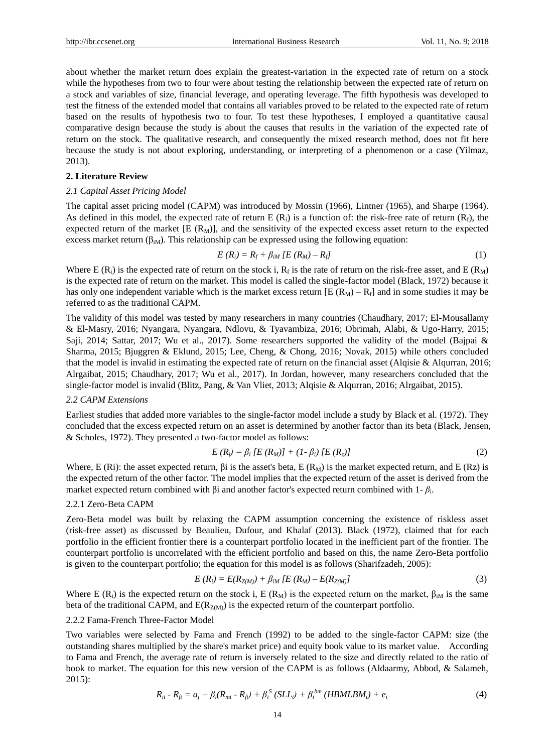about whether the market return does explain the greatest-variation in the expected rate of return on a stock while the hypotheses from two to four were about testing the relationship between the expected rate of return on a stock and variables of size, financial leverage, and operating leverage. The fifth hypothesis was developed to test the fitness of the extended model that contains all variables proved to be related to the expected rate of return based on the results of hypothesis two to four. To test these hypotheses, I employed a quantitative causal comparative design because the study is about the causes that results in the variation of the expected rate of return on the stock. The qualitative research, and consequently the mixed research method, does not fit here because the study is not about exploring, understanding, or interpreting of a phenomenon or a case (Yilmaz, 2013).

#### **2. Literature Review**

#### *2.1 Capital Asset Pricing Model*

The capital asset pricing model (CAPM) was introduced by Mossin (1966), Lintner (1965), and Sharpe (1964). As defined in this model, the expected rate of return E  $(R_i)$  is a function of: the risk-free rate of return  $(R_f)$ , the expected return of the market  $[E (R_M)]$ , and the sensitivity of the expected excess asset return to the expected excess market return  $(\beta_{iM})$ . This relationship can be expressed using the following equation:

$$
E(R_i) = R_f + \beta_{iM} [E(R_M) - R_f]
$$
\n<sup>(1)</sup>

Where E  $(R_i)$  is the expected rate of return on the stock i,  $R_f$  is the rate of return on the risk-free asset, and E  $(R_M)$ is the expected rate of return on the market. This model is called the single-factor model (Black, 1972) because it has only one independent variable which is the market excess return  $[E (R_M) - R_f]$  and in some studies it may be referred to as the traditional CAPM.

The validity of this model was tested by many researchers in many countries (Chaudhary, 2017; El-Mousallamy & El-Masry, 2016; Nyangara, Nyangara, Ndlovu, & Tyavambiza, 2016; Obrimah, Alabi, & Ugo-Harry, 2015; Saji, 2014; Sattar, 2017; Wu et al., 2017). Some researchers supported the validity of the model (Bajpai & Sharma, 2015; Bjuggren & Eklund, 2015; Lee, Cheng, & Chong, 2016; Novak, 2015) while others concluded that the model is invalid in estimating the expected rate of return on the financial asset (Alqisie & Alqurran, 2016; Alrgaibat, 2015; Chaudhary, 2017; Wu et al., 2017). In Jordan, however, many researchers concluded that the single-factor model is invalid (Blitz, Pang, & Van Vliet, 2013; Alqisie & Alqurran, 2016; Alrgaibat, 2015).

### *2.2 CAPM Extensions*

Earliest studies that added more variables to the single-factor model include a study by Black et al. (1972). They concluded that the excess expected return on an asset is determined by another factor than its beta (Black, Jensen, & Scholes, 1972). They presented a two-factor model as follows:

$$
E(R_i) = \beta_i [E(R_M)] + (1 - \beta_i) [E(R_z)] \tag{2}
$$

Where, E (Ri): the asset expected return,  $\beta i$  is the asset's beta, E (R<sub>M</sub>) is the market expected return, and E (Rz) is the expected return of the other factor. The model implies that the expected return of the asset is derived from the market expected return combined with βi and another factor's expected return combined with 1- *β*<sup>i</sup> .

#### 2.2.1 Zero-Beta CAPM

Zero-Beta model was built by relaxing the CAPM assumption concerning the existence of riskless asset (risk-free asset) as discussed by Beaulieu, Dufour, and Khalaf (2013). Black (1972), claimed that for each portfolio in the efficient frontier there is a counterpart portfolio located in the inefficient part of the frontier. The counterpart portfolio is uncorrelated with the efficient portfolio and based on this, the name Zero-Beta portfolio is given to the counterpart portfolio; the equation for this model is as follows (Sharifzadeh, 2005):

$$
E(R_i) = E(R_{Z(M)}) + \beta_{iM} [E(R_M) - E(R_{Z(M)})]
$$
\n(3)

Where E (R<sub>i</sub>) is the expected return on the stock i, E (R<sub>M</sub>) is the expected return on the market,  $\beta_{iM}$  is the same beta of the traditional CAPM, and  $E(R_{Z(M)})$  is the expected return of the counterpart portfolio.

#### 2.2.2 Fama-French Three-Factor Model

Two variables were selected by Fama and French (1992) to be added to the single-factor CAPM: size (the outstanding shares multiplied by the share's market price) and equity book value to its market value. According to Fama and French, the average rate of return is inversely related to the size and directly related to the ratio of book to market. The equation for this new version of the CAPM is as follows (Aldaarmy, Abbod, & Salameh, 2015):

$$
R_{it} - R_{fi} = a_j + \beta_i (R_{mt} - R_{fi}) + \beta_i^S (SLL_t) + \beta_i^{bm} (HBMLBM_t) + e_i
$$
\n(4)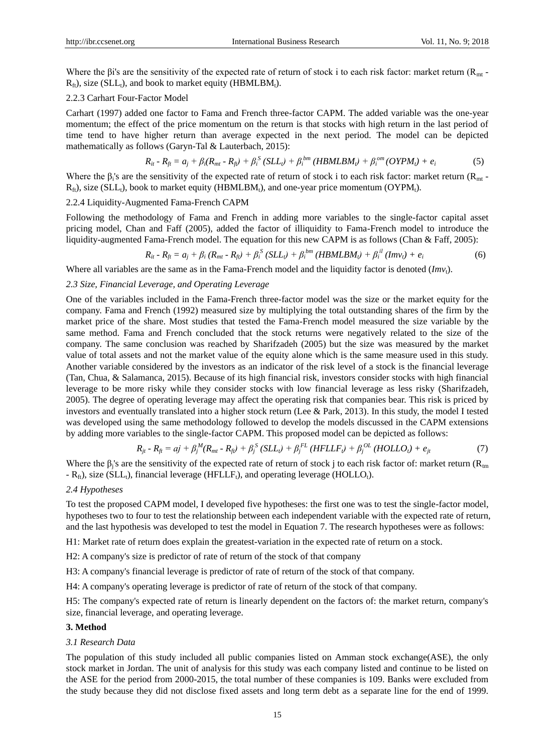Where the βi's are the sensitivity of the expected rate of return of stock i to each risk factor: market return ( $R_{mt}$  - $R_f$ , size (SLL<sub>t</sub>), and book to market equity (HBMLBM<sub>t</sub>).

## 2.2.3 Carhart Four-Factor Model

Carhart (1997) added one factor to Fama and French three-factor CAPM. The added variable was the one-year momentum; the effect of the price momentum on the return is that stocks with high return in the last period of time tend to have higher return than average expected in the next period. The model can be depicted mathematically as follows (Garyn-Tal & Lauterbach, 2015):

$$
R_{it} - R_{ft} = a_j + \beta_i (R_{mt} - R_{ft}) + \beta_i^S (SLL_t) + \beta_i^{bm} (HBMLBM_t) + \beta_i^{om} (OYPM_t) + e_i
$$
 (5)

Where the  $\beta_i$ 's are the sensitivity of the expected rate of return of stock i to each risk factor: market return ( $R_{mt}$  - $R_{fi}$ ), size (SLL<sub>t</sub>), book to market equity (HBMLBM<sub>t</sub>), and one-year price momentum (OYPM<sub>t</sub>).

# 2.2.4 Liquidity-Augmented Fama-French CAPM

Following the methodology of Fama and French in adding more variables to the single-factor capital asset pricing model, Chan and Faff (2005), added the factor of illiquidity to Fama-French model to introduce the liquidity-augmented Fama-French model. The equation for this new CAPM is as follows (Chan & Faff, 2005):

$$
R_{ii} - R_{fi} = a_j + \beta_i (R_{mi} - R_{fi}) + \beta_i^S (SLL_i) + \beta_i^{bm} (HBMLBM_i) + \beta_i^{il} (Imv_i) + e_i
$$
 (6)

Where all variables are the same as in the Fama-French model and the liquidity factor is denoted  $(Imv_t)$ .

## *2.3 Size, Financial Leverage, and Operating Leverage*

One of the variables included in the Fama-French three-factor model was the size or the market equity for the company. Fama and French (1992) measured size by multiplying the total outstanding shares of the firm by the market price of the share. Most studies that tested the Fama-French model measured the size variable by the same method. Fama and French concluded that the stock returns were negatively related to the size of the company. The same conclusion was reached by Sharifzadeh (2005) but the size was measured by the market value of total assets and not the market value of the equity alone which is the same measure used in this study. Another variable considered by the investors as an indicator of the risk level of a stock is the financial leverage (Tan, Chua, & Salamanca, 2015). Because of its high financial risk, investors consider stocks with high financial leverage to be more risky while they consider stocks with low financial leverage as less risky (Sharifzadeh, 2005). The degree of operating leverage may affect the operating risk that companies bear. This risk is priced by investors and eventually translated into a higher stock return (Lee & Park, 2013). In this study, the model I tested was developed using the same methodology followed to develop the models discussed in the CAPM extensions by adding more variables to the single-factor CAPM. This proposed model can be depicted as follows:

$$
R_{jt} - R_{ft} = aj + \beta_j^M (R_{mt} - R_{ft}) + \beta_j^S (SLL_t) + \beta_j^{FL} (HFLLF_t) + \beta_j^{OL} (HOLLO_t) + e_{jt}
$$
(7)

Where the  $\beta_j$ 's are the sensitivity of the expected rate of return of stock j to each risk factor of: market return ( $R_{tm}$  $-R_{ft}$ ), size (SLL<sub>t</sub>), financial leverage (HFLLF<sub>t</sub>), and operating leverage (HOLLO<sub>t</sub>).

### *2.4 Hypotheses*

To test the proposed CAPM model, I developed five hypotheses: the first one was to test the single-factor model, hypotheses two to four to test the relationship between each independent variable with the expected rate of return, and the last hypothesis was developed to test the model in Equation 7. The research hypotheses were as follows:

H1: Market rate of return does explain the greatest-variation in the expected rate of return on a stock.

H2: A company's size is predictor of rate of return of the stock of that company

H3: A company's financial leverage is predictor of rate of return of the stock of that company.

H4: A company's operating leverage is predictor of rate of return of the stock of that company.

H5: The company's expected rate of return is linearly dependent on the factors of: the market return, company's size, financial leverage, and operating leverage.

## **3. Method**

### *3.1 Research Data*

The population of this study included all public companies listed on Amman stock exchange(ASE), the only stock market in Jordan. The unit of analysis for this study was each company listed and continue to be listed on the ASE for the period from 2000-2015, the total number of these companies is 109. Banks were excluded from the study because they did not disclose fixed assets and long term debt as a separate line for the end of 1999.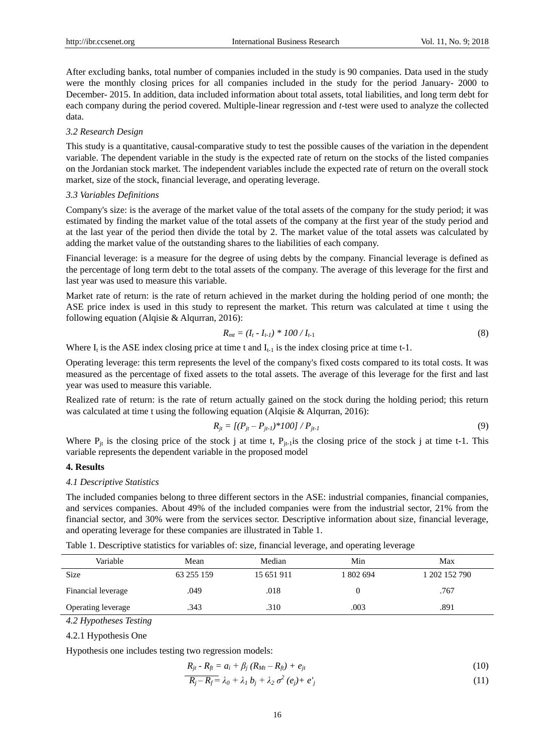After excluding banks, total number of companies included in the study is 90 companies. Data used in the study were the monthly closing prices for all companies included in the study for the period January- 2000 to December- 2015. In addition, data included information about total assets, total liabilities, and long term debt for each company during the period covered. Multiple-linear regression and *t*-test were used to analyze the collected data.

#### *3.2 Research Design*

This study is a quantitative, causal-comparative study to test the possible causes of the variation in the dependent variable. The dependent variable in the study is the expected rate of return on the stocks of the listed companies on the Jordanian stock market. The independent variables include the expected rate of return on the overall stock market, size of the stock, financial leverage, and operating leverage.

#### *3.3 Variables Definitions*

Company's size: is the average of the market value of the total assets of the company for the study period; it was estimated by finding the market value of the total assets of the company at the first year of the study period and at the last year of the period then divide the total by 2. The market value of the total assets was calculated by adding the market value of the outstanding shares to the liabilities of each company.

Financial leverage: is a measure for the degree of using debts by the company. Financial leverage is defined as the percentage of long term debt to the total assets of the company. The average of this leverage for the first and last year was used to measure this variable.

Market rate of return: is the rate of return achieved in the market during the holding period of one month; the ASE price index is used in this study to represent the market. This return was calculated at time t using the following equation (Alqisie & Alqurran, 2016):

$$
R_{mt} = (I_t - I_{t-1}) * 100 / I_{t-1}
$$
\n(8)

Where  $I_t$  is the ASE index closing price at time t and  $I_{t-1}$  is the index closing price at time t-1.

Operating leverage: this term represents the level of the company's fixed costs compared to its total costs. It was measured as the percentage of fixed assets to the total assets. The average of this leverage for the first and last year was used to measure this variable.

Realized rate of return: is the rate of return actually gained on the stock during the holding period; this return was calculated at time t using the following equation (Alqisie & Alqurran, 2016):

$$
R_{jt} = [(P_{jt} - P_{jt-1}) \cdot 100] / P_{jt-1}
$$
\n(9)

Where  $P_{it}$  is the closing price of the stock j at time t,  $P_{it-1}$  is the closing price of the stock j at time t-1. This variable represents the dependent variable in the proposed model

## **4. Results**

#### *4.1 Descriptive Statistics*

The included companies belong to three different sectors in the ASE: industrial companies, financial companies, and services companies. About 49% of the included companies were from the industrial sector, 21% from the financial sector, and 30% were from the services sector. Descriptive information about size, financial leverage, and operating leverage for these companies are illustrated in Table 1.

Table 1. Descriptive statistics for variables of: size, financial leverage, and operating leverage

| Variable                  | Mean       | Median     | Min       | Max           |
|---------------------------|------------|------------|-----------|---------------|
| <b>Size</b>               | 63 255 159 | 15 651 911 | 1 802 694 | 1 202 152 790 |
| Financial leverage        | .049       | .018       |           | .767          |
| <b>Operating leverage</b> | .343       | .310       | .003      | .891          |

*4.2 Hypotheses Testing*

4.2.1 Hypothesis One

Hypothesis one includes testing two regression models:

$$
R_{jt} - R_{ft} = a_i + \beta_j (R_{Mt} - R_{ft}) + e_{jt}
$$
\n(10)

$$
\overline{R_j - R_f} = \lambda_0 + \lambda_1 b_j + \lambda_2 \sigma^2 (e_j) + e_j' \tag{11}
$$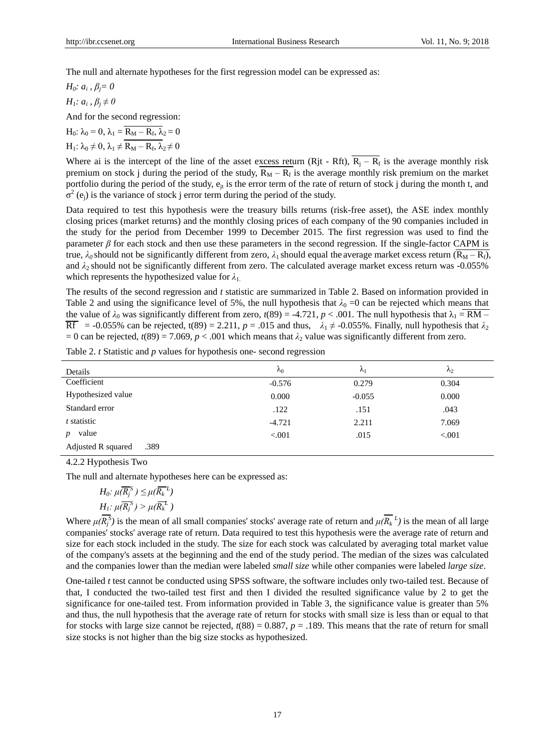The null and alternate hypotheses for the first regression model can be expressed as:

*H0: a<sup>i</sup> , βj= 0*

*H1: a<sup>i</sup> , β<sup>j</sup> ≠ 0*

And for the second regression:

 $H_0$ :  $\lambda_0 = 0$ ,  $\lambda_1 = R_M - R_f$ ,  $\lambda_2 = 0$  $H_1$ :  $\lambda_0 \neq 0$ ,  $\lambda_1 \neq R_M - R_f$ ,  $\lambda_2 \neq 0$ 

Where ai is the intercept of the line of the asset excess return (Rjt - Rft),  $R_j - R_f$  is the average monthly risk premium on stock j during the period of the study,  $R_M - R_f$  is the average monthly risk premium on the market portfolio during the period of the study,  $e_{it}$  is the error term of the rate of return of stock j during the month t, and  $\sigma^2$  (e<sub>j</sub>) is the variance of stock j error term during the period of the study.

Data required to test this hypothesis were the treasury bills returns (risk-free asset), the ASE index monthly closing prices (market returns) and the monthly closing prices of each company of the 90 companies included in the study for the period from December 1999 to December 2015. The first regression was used to find the parameter  $\beta$  for each stock and then use these parameters in the second regression. If the single-factor CAPM is true, λ<sub>0</sub> should not be significantly different from zero, λ<sub>1</sub> should equal the average market excess return ( $\overline{R_M - R_f}$ ), and *λ*2 should not be significantly different from zero. The calculated average market excess return was -0.055% which represents the hypothesized value for  $\lambda_1$ .

The results of the second regression and *t* statistic are summarized in Table 2. Based on information provided in Table 2 and using the significance level of 5%, the null hypothesis that  $\lambda_0 = 0$  can be rejected which means that the value of  $\lambda_0$  was significantly different from zero,  $t(89) = -4.721$ ,  $p < .001$ . The null hypothesis that  $\lambda_1 = \overline{RM}$  $\overline{\text{Rf}}$  = -0.055% can be rejected, t(89) = 2.211, *p* = .015 and thus,  $\lambda_1 \neq$  -0.055%. Finally, null hypothesis that  $\lambda_2$ = 0 can be rejected,  $t(89) = 7.069$ ,  $p < .001$  which means that  $\lambda_2$  value was significantly different from zero.

| Details                    | $\lambda_0$ | $\mathcal{N}_1$ | $\mathcal{N}_2$ |
|----------------------------|-------------|-----------------|-----------------|
| Coefficient                | $-0.576$    | 0.279           | 0.304           |
| Hypothesized value         | 0.000       | $-0.055$        | 0.000           |
| Standard error             | .122        | .151            | .043            |
| t statistic                | $-4.721$    | 2.211           | 7.069           |
| value                      | < 0.001     | .015            | < .001          |
| Adjusted R squared<br>.389 |             |                 |                 |

Table 2. *t* Statistic and *p* values for hypothesis one- second regression

4.2.2 Hypothesis Two

The null and alternate hypotheses here can be expressed as:

$$
H_0: \mu(\overline{R_j}^S) \leq \mu(\overline{R_k}^L)
$$
  

$$
H_1: \mu(\overline{R_j}^S) > \mu(\overline{R_k}^L)
$$

Where  $\mu(R_j^S)$  is the mean of all small companies' stocks' average rate of return and  $\mu(R_k^L)$  is the mean of all large companies' stocks' average rate of return. Data required to test this hypothesis were the average rate of return and size for each stock included in the study. The size for each stock was calculated by averaging total market value of the company's assets at the beginning and the end of the study period. The median of the sizes was calculated and the companies lower than the median were labeled *small size* while other companies were labeled *large size*.

One-tailed *t* test cannot be conducted using SPSS software, the software includes only two-tailed test. Because of that, I conducted the two-tailed test first and then I divided the resulted significance value by 2 to get the significance for one-tailed test. From information provided in Table 3, the significance value is greater than 5% and thus, the null hypothesis that the average rate of return for stocks with small size is less than or equal to that for stocks with large size cannot be rejected,  $t(88) = 0.887$ ,  $p = .189$ . This means that the rate of return for small size stocks is not higher than the big size stocks as hypothesized.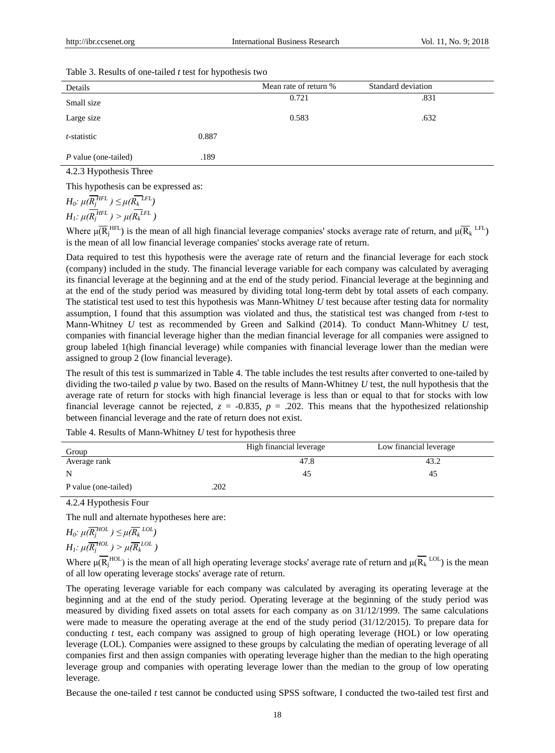| Table 3. Results of one-tailed $t$ test for hypothesis two |  |
|------------------------------------------------------------|--|
|------------------------------------------------------------|--|

| Details                     |       | Mean rate of return % | Standard deviation |
|-----------------------------|-------|-----------------------|--------------------|
| Small size                  |       | 0.721                 | .831               |
| Large size                  |       | 0.583                 | .632               |
| t-statistic                 | 0.887 |                       |                    |
| <i>P</i> value (one-tailed) | .189  |                       |                    |

4.2.3 Hypothesis Three

This hypothesis can be expressed as:

$$
H_0: \mu(\overline{R_j}^{HFL}) \leq \mu(\overline{R_k}^{LFL})
$$
  

$$
H_1: \mu(\overline{R_j}^{HFL}) > \mu(\overline{R_k}^{LFL})
$$

Where  $\mu(\overline{R}_j^{\text{HFL}})$  is the mean of all high financial leverage companies' stocks average rate of return, and  $\mu(\overline{R}_k^{\text{LFL}})$ is the mean of all low financial leverage companies' stocks average rate of return.

Data required to test this hypothesis were the average rate of return and the financial leverage for each stock (company) included in the study. The financial leverage variable for each company was calculated by averaging its financial leverage at the beginning and at the end of the study period. Financial leverage at the beginning and at the end of the study period was measured by dividing total long-term debt by total assets of each company. The statistical test used to test this hypothesis was Mann-Whitney *U* test because after testing data for normality assumption, I found that this assumption was violated and thus, the statistical test was changed from *t*-test to Mann-Whitney *U* test as recommended by Green and Salkind (2014). To conduct Mann-Whitney *U* test, companies with financial leverage higher than the median financial leverage for all companies were assigned to group labeled 1(high financial leverage) while companies with financial leverage lower than the median were assigned to group 2 (low financial leverage).

The result of this test is summarized in Table 4. The table includes the test results after converted to one-tailed by dividing the two-tailed *p* value by two. Based on the results of Mann-Whitney *U* test, the null hypothesis that the average rate of return for stocks with high financial leverage is less than or equal to that for stocks with low financial leverage cannot be rejected,  $z = -0.835$ ,  $p = .202$ . This means that the hypothesized relationship between financial leverage and the rate of return does not exist.

Table 4. Results of Mann-Whitney *U* test for hypothesis three

| Group                | High financial leverage | Low financial leverage |
|----------------------|-------------------------|------------------------|
| Average rank         | 47.8                    | 43.2                   |
| N                    | 45                      | 42                     |
| P value (one-tailed) | .202                    |                        |

4.2.4 Hypothesis Four

The null and alternate hypotheses here are:

$$
H_0: \mu(\overline{R_j}^{HOL}) \leq \mu(\overline{R_k}^{LOL})
$$
  

$$
H_1: \mu(\overline{R_j}^{HOL}) > \mu(\overline{R_k}^{LOL})
$$

Where  $\mu(\overline{R_j}^{HOL})$  is the mean of all high operating leverage stocks' average rate of return and  $\mu(\overline{R_k}^{LOL})$  is the mean of all low operating leverage stocks' average rate of return.

The operating leverage variable for each company was calculated by averaging its operating leverage at the beginning and at the end of the study period. Operating leverage at the beginning of the study period was measured by dividing fixed assets on total assets for each company as on 31/12/1999. The same calculations were made to measure the operating average at the end of the study period (31/12/2015). To prepare data for conducting *t* test*,* each company was assigned to group of high operating leverage (HOL) or low operating leverage (LOL). Companies were assigned to these groups by calculating the median of operating leverage of all companies first and then assign companies with operating leverage higher than the median to the high operating leverage group and companies with operating leverage lower than the median to the group of low operating leverage.

Because the one-tailed *t* test cannot be conducted using SPSS software, I conducted the two-tailed test first and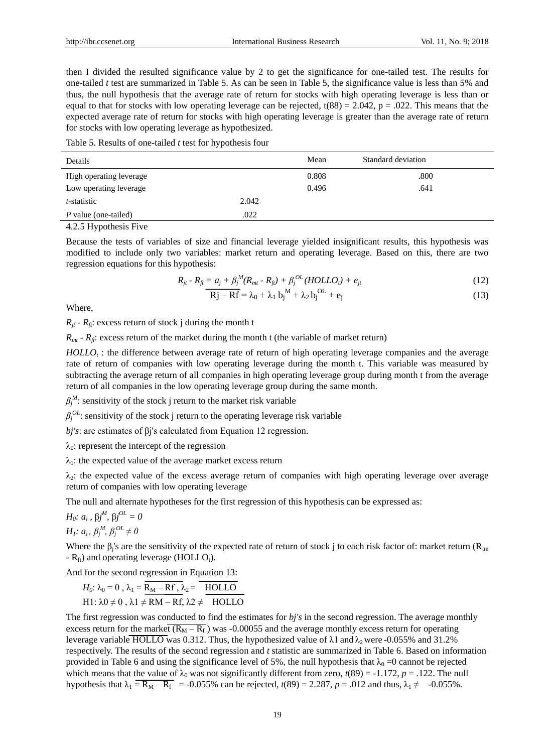then I divided the resulted significance value by 2 to get the significance for one-tailed test. The results for one-tailed *t* test are summarized in Table 5. As can be seen in Table 5, the significance value is less than 5% and thus, the null hypothesis that the average rate of return for stocks with high operating leverage is less than or equal to that for stocks with low operating leverage can be rejected,  $t(88) = 2.042$ ,  $p = .022$ . This means that the expected average rate of return for stocks with high operating leverage is greater than the average rate of return for stocks with low operating leverage as hypothesized.

Table 5. Results of one-tailed *t* test for hypothesis four

| 0.808<br>.800<br>High operating leverage | Details | Mean | Standard deviation |  |
|------------------------------------------|---------|------|--------------------|--|
|                                          |         |      |                    |  |
| Low operating leverage<br>0.496<br>.641  |         |      |                    |  |
| 2.042<br><i>t</i> -statistic             |         |      |                    |  |
| .022<br><i>P</i> value (one-tailed)      |         |      |                    |  |

4.2.5 Hypothesis Five

Because the tests of variables of size and financial leverage yielded insignificant results, this hypothesis was modified to include only two variables: market return and operating leverage. Based on this, there are two regression equations for this hypothesis:

$$
R_{jt} - R_{fi} = a_j + \beta_j^M (R_{mt} - R_{fi}) + \beta_j^{OL} (HOLLO_t) + e_{jt}
$$
\n(12)

$$
\overline{Rj - Rf} = \lambda_0 + \lambda_1 b_j^M + \lambda_2 b_j^{OL} + e_j
$$
\n(13)

Where,

 $R_{it}$  *- R<sub>ft</sub>*: excess return of stock j during the month t

 $R<sub>mt</sub>$  *-*  $R<sub>ft</sub>$ : excess return of the market during the month t (the variable of market return)

*HOLLO<sup>t</sup>* : the difference between average rate of return of high operating leverage companies and the average rate of return of companies with low operating leverage during the month t. This variable was measured by subtracting the average return of all companies in high operating leverage group during month t from the average return of all companies in the low operating leverage group during the same month.

 $\beta_j^M$ : sensitivity of the stock j return to the market risk variable

 $\beta_j^{OL}$ : sensitivity of the stock j return to the operating leverage risk variable

*bj's*: are estimates of βj's calculated from Equation 12 regression.

 $λ<sub>0</sub>$ : represent the intercept of the regression

 $\lambda_1$ : the expected value of the average market excess return

 $\lambda_2$ : the expected value of the excess average return of companies with high operating leverage over average return of companies with low operating leverage

The null and alternate hypotheses for the first regression of this hypothesis can be expressed as:

*H*<sub>0</sub>*: a<sub>i</sub>* ,  $\beta j^M$ ,  $\beta j^{OL} = 0$  $H_1$ *:*  $a_i$ ,  $\beta_j^M$ ,  $\beta_j^{OL} \neq 0$ 

Where the  $\beta_j$ 's are the sensitivity of the expected rate of return of stock j to each risk factor of: market return ( $R_{tm}$  $-R_{ft}$ ) and operating leverage (HOLLO<sub>t</sub>).

And for the second regression in Equation 13:

$$
H_0: \lambda_0 = 0, \lambda_1 = \overline{R_M - Rf, \lambda_2} = \overline{HOLLO}
$$
  
H1:  $\lambda 0 \neq 0$ ,  $\lambda 1 \neq RM - Rf, \lambda 2 \neq HOLLO$ 

The first regression was conducted to find the estimates for *bj's* in the second regression. The average monthly excess return for the market  $(R_M - R_f)$  was -0.00055 and the average monthly excess return for operating leverage variable HOLLO was 0.312. Thus, the hypothesized value of  $\lambda$ 1 and  $\lambda$ <sub>2</sub> were -0.055% and 31.2% respectively. The results of the second regression and *t* statistic are summarized in Table 6. Based on information provided in Table 6 and using the significance level of 5%, the null hypothesis that  $\lambda_0 = 0$  cannot be rejected which means that the value of  $\lambda_0$  was not significantly different from zero,  $t(89) = -1.172$ ,  $p = .122$ . The null hypothesis that  $\lambda_1 = \overline{R_M - R_f}$  = -0.055% can be rejected,  $t(89) = 2.287$ ,  $p = .012$  and thus,  $\lambda_1 \neq -0.055$ %.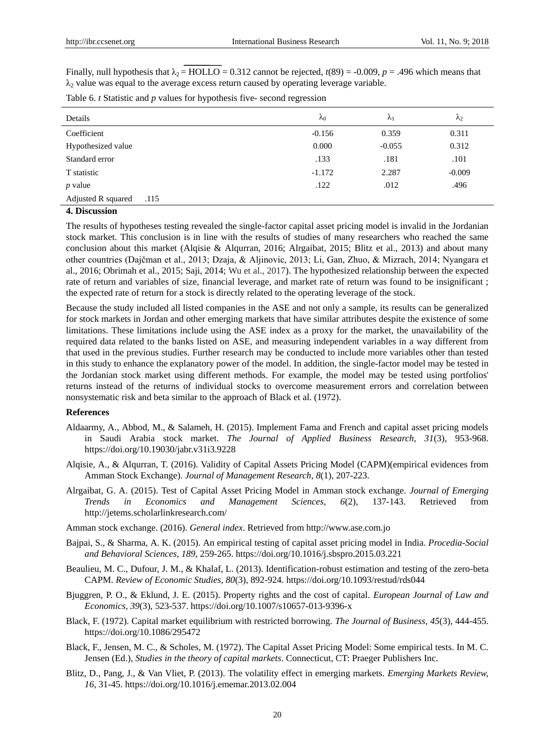Finally, null hypothesis that  $\lambda_2$  = HOLLO = 0.312 cannot be rejected,  $t(89)$  = -0.009,  $p = .496$  which means that  $\lambda_2$  value was equal to the average excess return caused by operating leverage variable.

| Details                     | $\lambda_0$ | $\lambda_1$ | $\lambda_2$ |
|-----------------------------|-------------|-------------|-------------|
| Coefficient                 | $-0.156$    | 0.359       | 0.311       |
| Hypothesized value          | 0.000       | $-0.055$    | 0.312       |
| Standard error              | .133        | .181        | .101        |
| T statistic                 | $-1.172$    | 2.287       | $-0.009$    |
| $p$ value                   | .122        | .012        | .496        |
| Adjusted R squared<br>.115  |             |             |             |
| $\mathbf{A}$ D <sup>e</sup> |             |             |             |

#### **4. Discussion**

The results of hypotheses testing revealed the single-factor capital asset pricing model is invalid in the Jordanian stock market. This conclusion is in line with the results of studies of many researchers who reached the same conclusion about this market (Alqisie & Alqurran, 2016; Alrgaibat, 2015; Blitz et al., 2013) and about many other countries (Dajčman et al., 2013; Dzaja, & Aljinovic, 2013; Li, Gan, Zhuo, & Mizrach, 2014; Nyangara et al., 2016; Obrimah et al., 2015; Saji, 2014; Wu et al., 2017). The hypothesized relationship between the expected rate of return and variables of size, financial leverage, and market rate of return was found to be insignificant ; the expected rate of return for a stock is directly related to the operating leverage of the stock.

Because the study included all listed companies in the ASE and not only a sample, its results can be generalized for stock markets in Jordan and other emerging markets that have similar attributes despite the existence of some limitations. These limitations include using the ASE index as a proxy for the market, the unavailability of the required data related to the banks listed on ASE, and measuring independent variables in a way different from that used in the previous studies. Further research may be conducted to include more variables other than tested in this study to enhance the explanatory power of the model. In addition, the single-factor model may be tested in the Jordanian stock market using different methods. For example, the model may be tested using portfolios' returns instead of the returns of individual stocks to overcome measurement errors and correlation between nonsystematic risk and beta similar to the approach of Black et al. (1972).

#### **References**

- Aldaarmy, A., Abbod, M., & Salameh, H. (2015). Implement Fama and French and capital asset pricing models in Saudi Arabia stock market. *The Journal of Applied Business Research, 31*(3), 953-968. https://doi.org/10.19030/jabr.v31i3.9228
- Alqisie, A., & Alqurran, T. (2016). Validity of Capital Assets Pricing Model (CAPM)(empirical evidences from Amman Stock Exchange). *Journal of Management Research, 8*(1), 207-223.
- Alrgaibat, G. A. (2015). Test of Capital Asset Pricing Model in Amman stock exchange. *Journal of Emerging Trends in Economics and Management Sciences, 6*(2), 137-143. Retrieved from http://jetems.scholarlinkresearch.com/
- Amman stock exchange. (2016). *General index*. Retrieved from http://www.ase.com.jo
- Bajpai, S., & Sharma, A. K. (2015). An empirical testing of capital asset pricing model in India. *Procedia-Social and Behavioral Sciences, 189*, 259-265. https://doi.org/10.1016/j.sbspro.2015.03.221
- Beaulieu, M. C., Dufour, J. M., & Khalaf, L. (2013). Identification-robust estimation and testing of the zero-beta CAPM. *Review of Economic Studies, 80*(3), 892-924. https://doi.org/10.1093/restud/rds044
- Bjuggren, P. O., & Eklund, J. E. (2015). Property rights and the cost of capital. *European Journal of Law and Economics, 39*(3), 523-537. https://doi.org/10.1007/s10657-013-9396-x
- Black, F. (1972). Capital market equilibrium with restricted borrowing. *The Journal of Business*, *45*(3), 444-455. https://doi.org/10.1086/295472
- Black, F., Jensen, M. C., & Scholes, M. (1972). The Capital Asset Pricing Model: Some empirical tests. In M. C. Jensen (Ed.), *Studies in the theory of capital markets*. Connecticut, CT: Praeger Publishers Inc.
- Blitz, D., Pang, J., & Van Vliet, P. (2013). The volatility effect in emerging markets. *Emerging Markets Review, 16*, 31-45. https://doi.org/10.1016/j.ememar.2013.02.004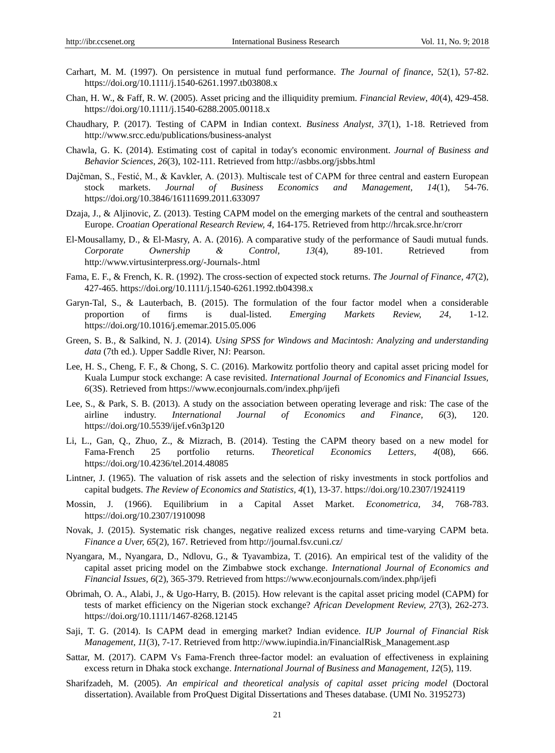- Carhart, M. M. (1997). On persistence in mutual fund performance. *The Journal of finance*, 52(1), 57-82. https://doi.org/10.1111/j.1540-6261.1997.tb03808.x
- Chan, H. W., & Faff, R. W. (2005). Asset pricing and the illiquidity premium. *Financial Review*, *40*(4), 429-458. https://doi.org/10.1111/j.1540-6288.2005.00118.x
- Chaudhary, P. (2017). Testing of CAPM in Indian context. *Business Analyst, 37*(1), 1-18. Retrieved from http://www.srcc.edu/publications/business-analyst
- Chawla, G. K. (2014). Estimating cost of capital in today's economic environment. *Journal of Business and Behavior Sciences, 26*(3), 102-111. Retrieved from http://asbbs.org/jsbbs.html
- Dajčman, S., Festić, M., & Kavkler, A. (2013). Multiscale test of CAPM for three central and eastern European stock markets. *Journal of Business Economics and Management, 14*(1), 54-76. https://doi.org/10.3846/16111699.2011.633097
- Dzaja, J., & Aljinovic, Z. (2013). Testing CAPM model on the emerging markets of the central and southeastern Europe. *Croatian Operational Research Review, 4*, 164-175. Retrieved from http://hrcak.srce.hr/crorr
- El-Mousallamy, D., & El-Masry, A. A. (2016). A comparative study of the performance of Saudi mutual funds. *Corporate Ownership & Control, 13*(4), 89-101. Retrieved from http://www.virtusinterpress.org/-Journals-.html
- Fama, E. F., & French, K. R. (1992). The cross-section of expected stock returns. *The Journal of Finance, 47*(2), 427-465. https://doi.org/10.1111/j.1540-6261.1992.tb04398.x
- Garyn-Tal, S., & Lauterbach, B. (2015). The formulation of the four factor model when a considerable proportion of firms is dual-listed. *Emerging Markets Review, 24*, 1-12. https://doi.org/10.1016/j.ememar.2015.05.006
- Green, S. B., & Salkind, N. J. (2014). *Using SPSS for Windows and Macintosh: Analyzing and understanding data* (7th ed.). Upper Saddle River, NJ: Pearson.
- Lee, H. S., Cheng, F. F., & Chong, S. C. (2016). Markowitz portfolio theory and capital asset pricing model for Kuala Lumpur stock exchange: A case revisited. *International Journal of Economics and Financial Issues, 6*(3S). Retrieved from https://www.econjournals.com/index.php/ijefi
- Lee, S., & Park, S. B. (2013). A study on the association between operating leverage and risk: The case of the airline industry. *International Journal of Economics and Finance, 6*(3), 120. https://doi.org/10.5539/ijef.v6n3p120
- Li, L., Gan, Q., Zhuo, Z., & Mizrach, B. (2014). Testing the CAPM theory based on a new model for Fama-French 25 portfolio returns. *Theoretical Economics Letters, 4*(08), 666. https://doi.org/10.4236/tel.2014.48085
- Lintner, J. (1965). The valuation of risk assets and the selection of risky investments in stock portfolios and capital budgets. *The Review of Economics and Statistics, 4*(1), 13-37. https://doi.org/10.2307/1924119
- Mossin, J. (1966). Equilibrium in a Capital Asset Market. *Econometrica, 34*, 768-783. https://doi.org/10.2307/1910098
- Novak, J. (2015). Systematic risk changes, negative realized excess returns and time-varying CAPM beta. *Finance a Uver, 65*(2), 167. Retrieved from http://journal.fsv.cuni.cz/
- Nyangara, M., Nyangara, D., Ndlovu, G., & Tyavambiza, T. (2016). An empirical test of the validity of the capital asset pricing model on the Zimbabwe stock exchange. *International Journal of Economics and Financial Issues, 6*(2), 365-379. Retrieved from https://www.econjournals.com/index.php/ijefi
- Obrimah, O. A., Alabi, J., & Ugo-Harry, B. (2015). How relevant is the capital asset pricing model (CAPM) for tests of market efficiency on the Nigerian stock exchange? *African Development Review, 27*(3), 262-273. https://doi.org/10.1111/1467-8268.12145
- Saji, T. G. (2014). Is CAPM dead in emerging market? Indian evidence. *IUP Journal of Financial Risk Management, 11*(3), 7-17. Retrieved from http://www.iupindia.in/FinancialRisk\_Management.asp
- Sattar, M. (2017). CAPM Vs Fama-French three-factor model: an evaluation of effectiveness in explaining excess return in Dhaka stock exchange. *International Journal of Business and Management, 12*(5), 119.
- Sharifzadeh, M. (2005). *An empirical and theoretical analysis of capital asset pricing model* (Doctoral dissertation). Available from ProQuest Digital Dissertations and Theses database. (UMI No. 3195273)